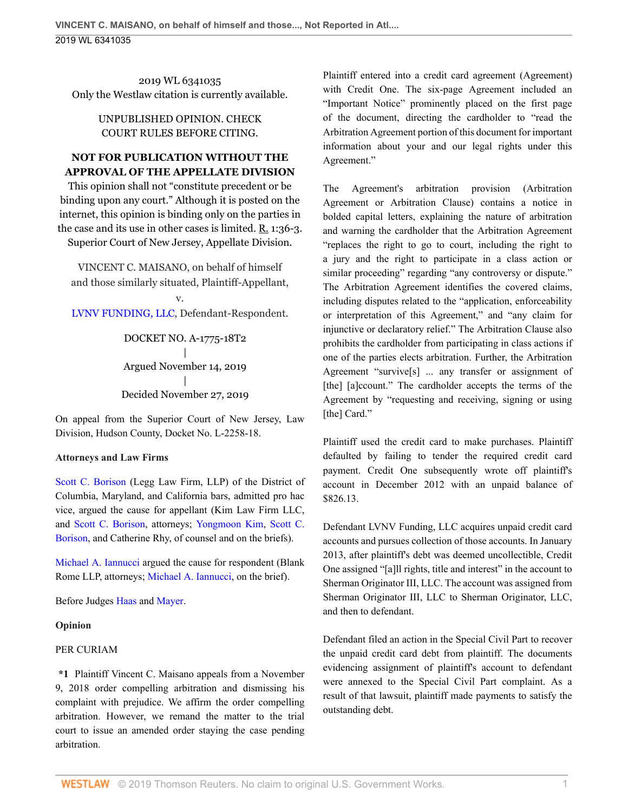2019 WL 6341035 Only the Westlaw citation is currently available.

#### UNPUBLISHED OPINION. CHECK COURT RULES BEFORE CITING.

# **NOT FOR PUBLICATION WITHOUT THE APPROVAL OF THE APPELLATE DIVISION**

This opinion shall not "constitute precedent or be binding upon any court." Although it is posted on the internet, this opinion is binding only on the parties in the case and its use in other cases is limited.  $R_1$  1:36-3. Superior Court of New Jersey, Appellate Division.

VINCENT C. MAISANO, on behalf of himself and those similarly situated, Plaintiff-Appellant,

v. LVNV FUNDING, LLC, Defendant-Respondent.

> DOCKET NO. A-1775-18T2 | Argued November 14, 2019 | Decided November 27, 2019

On appeal from the Superior Court of New Jersey, Law Division, Hudson County, Docket No. L-2258-18.

## **Attorneys and Law Firms**

Scott C. Borison (Legg Law Firm, LLP) of the District of Columbia, Maryland, and California bars, admitted pro hac vice, argued the cause for appellant (Kim Law Firm LLC, and Scott C. Borison, attorneys; Yongmoon Kim, Scott C. Borison, and Catherine Rhy, of counsel and on the briefs).

Michael A. Iannucci argued the cause for respondent (Blank Rome LLP, attorneys; Michael A. Iannucci, on the brief).

Before Judges Haas and Mayer.

## **Opinion**

## PER CURIAM

**\*1** Plaintiff Vincent C. Maisano appeals from a November 9, 2018 order compelling arbitration and dismissing his complaint with prejudice. We affirm the order compelling arbitration. However, we remand the matter to the trial court to issue an amended order staying the case pending arbitration.

Plaintiff entered into a credit card agreement (Agreement) with Credit One. The six-page Agreement included an "Important Notice" prominently placed on the first page of the document, directing the cardholder to "read the Arbitration Agreement portion of this document for important information about your and our legal rights under this Agreement."

The Agreement's arbitration provision (Arbitration Agreement or Arbitration Clause) contains a notice in bolded capital letters, explaining the nature of arbitration and warning the cardholder that the Arbitration Agreement "replaces the right to go to court, including the right to a jury and the right to participate in a class action or similar proceeding" regarding "any controversy or dispute." The Arbitration Agreement identifies the covered claims, including disputes related to the "application, enforceability or interpretation of this Agreement," and "any claim for injunctive or declaratory relief." The Arbitration Clause also prohibits the cardholder from participating in class actions if one of the parties elects arbitration. Further, the Arbitration Agreement "survive[s] ... any transfer or assignment of [the] [a]ccount." The cardholder accepts the terms of the Agreement by "requesting and receiving, signing or using [the] Card."

Plaintiff used the credit card to make purchases. Plaintiff defaulted by failing to tender the required credit card payment. Credit One subsequently wrote off plaintiff's account in December 2012 with an unpaid balance of \$826.13.

Defendant LVNV Funding, LLC acquires unpaid credit card accounts and pursues collection of those accounts. In January 2013, after plaintiff's debt was deemed uncollectible, Credit One assigned "[a]ll rights, title and interest" in the account to Sherman Originator III, LLC. The account was assigned from Sherman Originator III, LLC to Sherman Originator, LLC, and then to defendant.

Defendant filed an action in the Special Civil Part to recover the unpaid credit card debt from plaintiff. The documents evidencing assignment of plaintiff's account to defendant were annexed to the Special Civil Part complaint. As a result of that lawsuit, plaintiff made payments to satisfy the outstanding debt.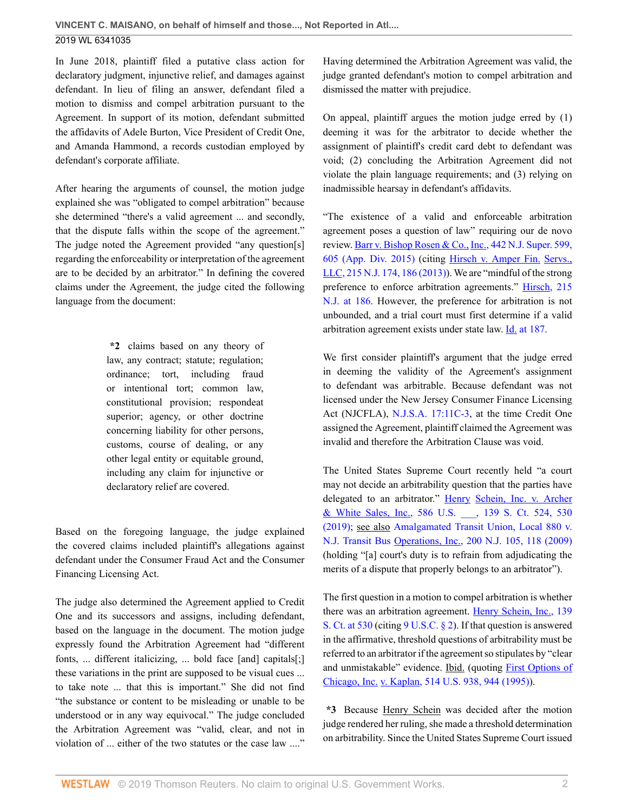In June 2018, plaintiff filed a putative class action for declaratory judgment, injunctive relief, and damages against defendant. In lieu of filing an answer, defendant filed a motion to dismiss and compel arbitration pursuant to the Agreement. In support of its motion, defendant submitted the affidavits of Adele Burton, Vice President of Credit One, and Amanda Hammond, a records custodian employed by defendant's corporate affiliate.

After hearing the arguments of counsel, the motion judge explained she was "obligated to compel arbitration" because she determined "there's a valid agreement ... and secondly, that the dispute falls within the scope of the agreement." The judge noted the Agreement provided "any question[s] regarding the enforceability or interpretation of the agreement are to be decided by an arbitrator." In defining the covered claims under the Agreement, the judge cited the following language from the document:

> **\*2** claims based on any theory of law, any contract; statute; regulation; ordinance; tort, including fraud or intentional tort; common law, constitutional provision; respondeat superior; agency, or other doctrine concerning liability for other persons, customs, course of dealing, or any other legal entity or equitable ground, including any claim for injunctive or declaratory relief are covered.

Based on the foregoing language, the judge explained the covered claims included plaintiff's allegations against defendant under the Consumer Fraud Act and the Consumer Financing Licensing Act.

The judge also determined the Agreement applied to Credit One and its successors and assigns, including defendant, based on the language in the document. The motion judge expressly found the Arbitration Agreement had "different fonts, ... different italicizing, ... bold face [and] capitals[;] these variations in the print are supposed to be visual cues ... to take note ... that this is important." She did not find "the substance or content to be misleading or unable to be understood or in any way equivocal." The judge concluded the Arbitration Agreement was "valid, clear, and not in violation of ... either of the two statutes or the case law ...." Having determined the Arbitration Agreement was valid, the judge granted defendant's motion to compel arbitration and dismissed the matter with prejudice.

On appeal, plaintiff argues the motion judge erred by (1) deeming it was for the arbitrator to decide whether the assignment of plaintiff's credit card debt to defendant was void; (2) concluding the Arbitration Agreement did not violate the plain language requirements; and (3) relying on inadmissible hearsay in defendant's affidavits.

"The existence of a valid and enforceable arbitration agreement poses a question of law" requiring our de novo review. Barr v. Bishop Rosen & Co., Inc., 442 N.J. Super. 599, 605 (App. Div. 2015) (citing Hirsch v. Amper Fin. Servs., LLC, 215 N.J. 174, 186 (2013)). We are "mindful of the strong preference to enforce arbitration agreements." Hirsch, 215 N.J. at 186. However, the preference for arbitration is not unbounded, and a trial court must first determine if a valid arbitration agreement exists under state law. Id. at 187.

We first consider plaintiff's argument that the judge erred in deeming the validity of the Agreement's assignment to defendant was arbitrable. Because defendant was not licensed under the New Jersey Consumer Finance Licensing Act (NJCFLA), N.J.S.A. 17:11C-3, at the time Credit One assigned the Agreement, plaintiff claimed the Agreement was invalid and therefore the Arbitration Clause was void.

The United States Supreme Court recently held "a court may not decide an arbitrability question that the parties have delegated to an arbitrator." Henry Schein, Inc. v. Archer & White Sales, Inc., 586 U.S. \_\_\_, 139 S. Ct. 524, 530 (2019); see also Amalgamated Transit Union, Local 880 v. N.J. Transit Bus Operations, Inc., 200 N.J. 105, 118 (2009) (holding "[a] court's duty is to refrain from adjudicating the merits of a dispute that properly belongs to an arbitrator").

The first question in a motion to compel arbitration is whether there was an arbitration agreement. Henry Schein, Inc., 139 S. Ct. at 530 (citing 9 U.S.C. § 2). If that question is answered in the affirmative, threshold questions of arbitrability must be referred to an arbitrator if the agreement so stipulates by "clear and unmistakable" evidence. Ibid. (quoting First Options of Chicago, Inc. v. Kaplan, 514 U.S. 938, 944 (1995)).

**\*3** Because Henry Schein was decided after the motion judge rendered her ruling, she made a threshold determination on arbitrability. Since the United States Supreme Court issued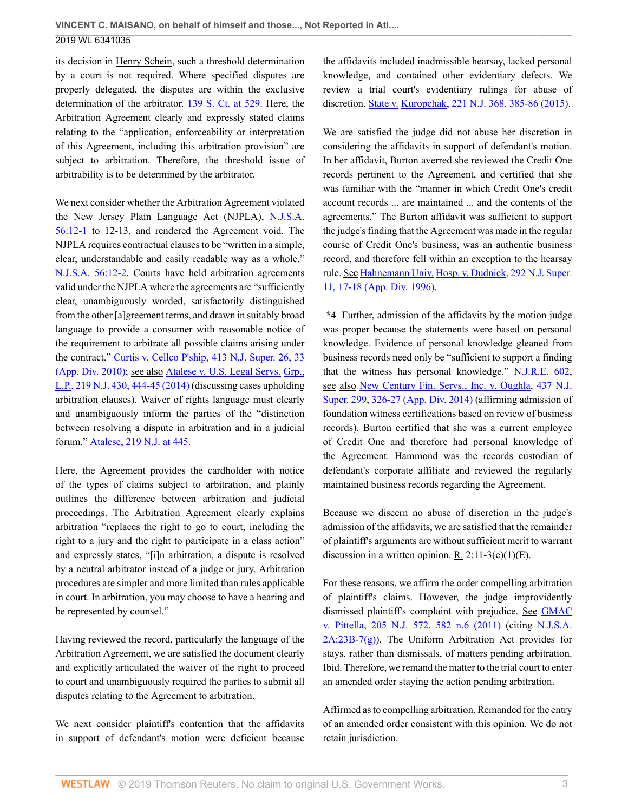2019 WL 6341035

its decision in Henry Schein, such a threshold determination by a court is not required. Where specified disputes are properly delegated, the disputes are within the exclusive determination of the arbitrator. 139 S. Ct. at 529. Here, the Arbitration Agreement clearly and expressly stated claims relating to the "application, enforceability or interpretation of this Agreement, including this arbitration provision" are subject to arbitration. Therefore, the threshold issue of arbitrability is to be determined by the arbitrator.

We next consider whether the Arbitration Agreement violated the New Jersey Plain Language Act (NJPLA), N.J.S.A. 56:12-1 to 12-13, and rendered the Agreement void. The NJPLA requires contractual clauses to be "written in a simple, clear, understandable and easily readable way as a whole." N.J.S.A. 56:12-2. Courts have held arbitration agreements valid under the NJPLA where the agreements are "sufficiently clear, unambiguously worded, satisfactorily distinguished from the other [a]greement terms, and drawn in suitably broad language to provide a consumer with reasonable notice of the requirement to arbitrate all possible claims arising under the contract." Curtis v. Cellco P'ship, 413 N.J. Super. 26, 33 (App. Div. 2010); see also Atalese v. U.S. Legal Servs. Grp., L.P., 219 N.J. 430, 444-45 (2014) (discussing cases upholding arbitration clauses). Waiver of rights language must clearly and unambiguously inform the parties of the "distinction between resolving a dispute in arbitration and in a judicial forum." Atalese, 219 N.J. at 445.

Here, the Agreement provides the cardholder with notice of the types of claims subject to arbitration, and plainly outlines the difference between arbitration and judicial proceedings. The Arbitration Agreement clearly explains arbitration "replaces the right to go to court, including the right to a jury and the right to participate in a class action" and expressly states, "[i]n arbitration, a dispute is resolved by a neutral arbitrator instead of a judge or jury. Arbitration procedures are simpler and more limited than rules applicable in court. In arbitration, you may choose to have a hearing and be represented by counsel."

Having reviewed the record, particularly the language of the Arbitration Agreement, we are satisfied the document clearly and explicitly articulated the waiver of the right to proceed to court and unambiguously required the parties to submit all disputes relating to the Agreement to arbitration.

We next consider plaintiff's contention that the affidavits in support of defendant's motion were deficient because the affidavits included inadmissible hearsay, lacked personal knowledge, and contained other evidentiary defects. We review a trial court's evidentiary rulings for abuse of discretion. State v. Kuropchak, 221 N.J. 368, 385-86 (2015).

We are satisfied the judge did not abuse her discretion in considering the affidavits in support of defendant's motion. In her affidavit, Burton averred she reviewed the Credit One records pertinent to the Agreement, and certified that she was familiar with the "manner in which Credit One's credit account records ... are maintained ... and the contents of the agreements." The Burton affidavit was sufficient to support the judge's finding that the Agreement was made in the regular course of Credit One's business, was an authentic business record, and therefore fell within an exception to the hearsay rule. See Hahnemann Univ. Hosp. v. Dudnick, 292 N.J. Super. 11, 17-18 (App. Div. 1996).

**\*4** Further, admission of the affidavits by the motion judge was proper because the statements were based on personal knowledge. Evidence of personal knowledge gleaned from business records need only be "sufficient to support a finding that the witness has personal knowledge." N.J.R.E. 602, see also New Century Fin. Servs., Inc. v. Oughla, 437 N.J. Super. 299, 326-27 (App. Div. 2014) (affirming admission of foundation witness certifications based on review of business records). Burton certified that she was a current employee of Credit One and therefore had personal knowledge of the Agreement. Hammond was the records custodian of defendant's corporate affiliate and reviewed the regularly maintained business records regarding the Agreement.

Because we discern no abuse of discretion in the judge's admission of the affidavits, we are satisfied that the remainder of plaintiff's arguments are without sufficient merit to warrant discussion in a written opinion. R.  $2:11-3(e)(1)(E)$ .

For these reasons, we affirm the order compelling arbitration of plaintiff's claims. However, the judge improvidently dismissed plaintiff's complaint with prejudice. See GMAC v. Pittella, 205 N.J. 572, 582 n.6 (2011) (citing N.J.S.A.  $2A:23B-7(g)$ ). The Uniform Arbitration Act provides for stays, rather than dismissals, of matters pending arbitration. Ibid. Therefore, we remand the matter to the trial court to enter an amended order staying the action pending arbitration.

Affirmed as to compelling arbitration. Remanded for the entry of an amended order consistent with this opinion. We do not retain jurisdiction.